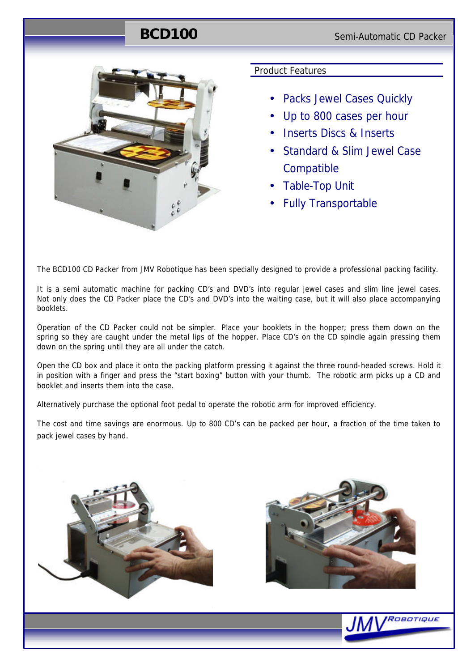## **BCD100** Semi-Automatic CD Packer



#### Product Features

- Packs Jewel Cases Quickly
- Up to 800 cases per hour
- Inserts Discs & Inserts
- Standard & Slim Jewel Case **Compatible**
- Table-Top Unit
- Fully Transportable

The BCD100 CD Packer from JMV Robotique has been specially designed to provide a professional packing facility.

It is a semi automatic machine for packing CD's and DVD's into regular jewel cases and slim line jewel cases. Not only does the CD Packer place the CD's and DVD's into the waiting case, but it will also place accompanying booklets.

Operation of the CD Packer could not be simpler. Place your booklets in the hopper; press them down on the spring so they are caught under the metal lips of the hopper. Place CD's on the CD spindle again pressing them down on the spring until they are all under the catch.

Open the CD box and place it onto the packing platform pressing it against the three round-headed screws. Hold it in position with a finger and press the "start boxing" button with your thumb. The robotic arm picks up a CD and booklet and inserts them into the case.

Alternatively purchase the optional foot pedal to operate the robotic arm for improved efficiency.

The cost and time savings are enormous. Up to 800 CD's can be packed per hour, a fraction of the time taken to pack jewel cases by hand.